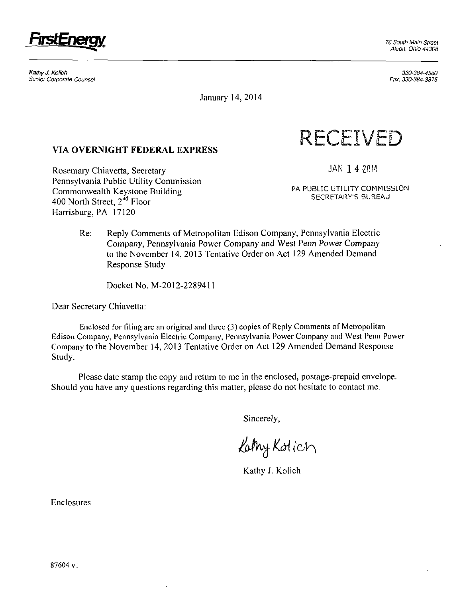

**KathyJ. Kolich**  Senior Corporate Counsel

330-384-4580 Fax: 330-384-3875

January 14,2014

# **VIA OVERNIGHT FEDERAL EXPRESS**

Rosemary Chiavetta, Secretary Pennsylvania Public Utility Commission Commonwealth Keystone Building 400 North Street, 2<sup>nd</sup> Floor Harrisburg, PA 17120



**JAN 1 4 2014** 

**PA PUBLIC UTILITY COMMISSION SECRETARY'S BUREAU** 

Re: Reply Comments of Metropolitan Edison Company, Pennsylvania Electric Company, Pennsylvania Power Company and West Penn Power Company to the November 14, 2013 Tentative Order on Act 129 Amended Demand Response Study

Docket No. M-2012-2289411

Dear Secretary Chiavetta:

Enclosed for filing arc an original and three (3) copies of Reply Comments of Metropolitan Edison Company, Pennsylvania Electric Company, Pennsylvania Power Company and West Penn Power Company to the November 14, 2013 Tentative Order on Act 129 Amended Demand Response Study.

Please date stamp the copy and return to me in the enclosed, postage-prepaid envelope. Should you have any questions regarding this matter, please do not hesitate to contact me.

Sincerely,

Lathy Kotich

Kathy J. Kolich

Enclosures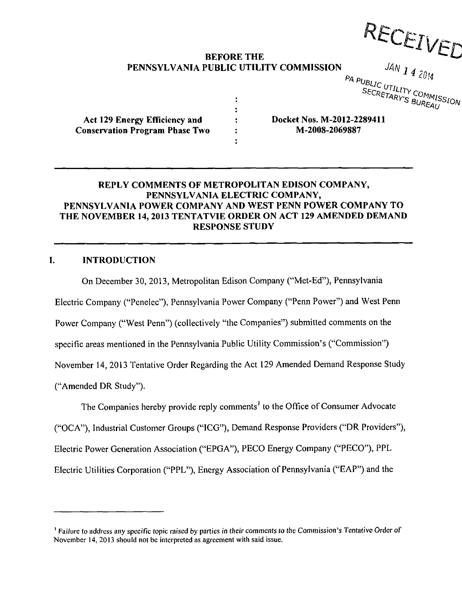RECEIVED

**SECRETARY'S BUREAU** 

# **BEFORE THE PENNSYLVANIA PUBLIC UTILITY COMMISSION**<br>*PA PUBLIC UTILITY COMMISSION*<br>*PA PUBLIC UTILITY COMMISSION*<br>*PA PUBLIC UTILITY COMMISSION*

 $\ddot{\cdot}$  $\ddot{\cdot}$  $\ddot{\cdot}$  $\ddot{\phantom{a}}$  $\ddot{\cdot}$ 

**Act 129 Energy Efficiency and Conservation Program Phase Two**  **Docket Nos. M-2012-22894n M-2008-2069887** 

#### **REPLY COMMENTS OF METROPOLITAN EDISON COMPANY, PENNSYLVANIA ELECTRIC COMPANY, PENNSYLVANIA POWER COMPANY AND WEST PENN POWER COMPANY TO THE NOVEMBER 14, 2013 TENTATVIE ORDER ON ACT 129 AMENDED DEMAND RESPONSE STUDY**

### **I. INTRODUCTION**

On December 30, 2013, Metropolitan Edison Company ("Met-Ed"), Pennsylvania Electric Company ("Penelec"), Pennsylvania Power Company ("Penn Power") and West Penn Power Company ("West Penn") (collectively "the Companies") submitted comments on the specific areas mentioned in the Pennsylvania Public Utility Commission's ("Commission") November 14, 2013 Tentative Order Regarding the Act 129 Amended Demand Response Study ("Amended DR Study").

The Companies hereby provide reply comments<sup>1</sup> to the Office of Consumer Advocate ("OCA"), Industrial Customer Groups ("ICG"), Demand Response Providers ("DR Providers"), Electric Power Generation Association ("EPGA"), PECO Energy Company ("PECO"), PPL Electric Utilities Corporation ("PPL"), Energy Association of Pennsylvania ("EAP") and the

<sup>&</sup>lt;sup>1</sup> Failure to address any specific topic raised by parties in their comments to the Commission's Tentative Order of November 14, 2013 should not be interpreted as agreement with said issue.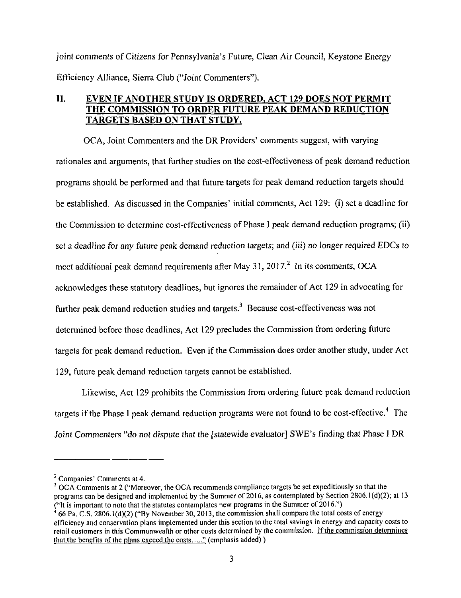joint comments of Citizens for Pennsylvania's Future, Clean Air Council, Keystone Energy Efficiency Alliance, Sierra Club ("Joint Commenters").

# **II. EVEN IF ANOTHER STUDY IS ORDERED, ACT 129 DOES NOT PERMIT THE COMMISSION TO ORDER FUTURE PEAK DEMAND REDUCTION TARGETS BASED ON THAT STUDY.**

OCA, Joint Commenters and the DR Providers' comments suggest, with varying rationales and arguments, that further studies on the cost-effectiveness of peak demand reduction programs should be performed and that future targets for peak demand reduction targets should be established. As discussed in the Companies' initial comments, Act 129: (i) set a deadline for the Commission to determine cost-effectiveness of Phase I peak demand reduction programs; (ii) set a deadline for any future peak demand reduction targets; and (iii) no longer required EDCs to meet additional peak demand requirements after May 31, 2017.<sup>2</sup> In its comments, OCA acknowledges these statutory deadlines, but ignores the remainder of Act 129 in advocating for further peak demand reduction studies and targets.<sup>3</sup> Because cost-effectiveness was not determined before those deadlines, Act 129 precludes the Commission from ordering future targets for peak demand reduction. Even if the Commission does order another study, under Act 129, future peak demand reduction targets cannot be established.

Likewise, Act 129 prohibits the Commission from ordering future peak demand reduction targets if the Phase I peak demand reduction programs were not found to be cost-effective.<sup>4</sup> The Joint Commenters "do not dispute that the [statewide evaluator] SWE's finding that Phase I DR

<sup>3</sup> OCA Comments at 2 ("Moreover, the OCA recommends compliance targets be set expeditiously so that the programs can be designed and implemented by the Summer of 2016, as contemplated by Section 2806.1(d)(2); at 13 <sup>1</sup> 66 Pa. C.S. 2806.1(d)(2) ("By November 30, 2013, the commission shall compare the total costs of energy of  $\sim$ 

 $2^2$  Companies' Comments at 4.

efficiency and conservation plans implemented under this section to the total savings in energy and capacity costs to retail customers in this Commonwealth or other costs determined by the commission. If the commission determines that the benefits of the plans exceed the costs  $\dots$ " (emphasis added))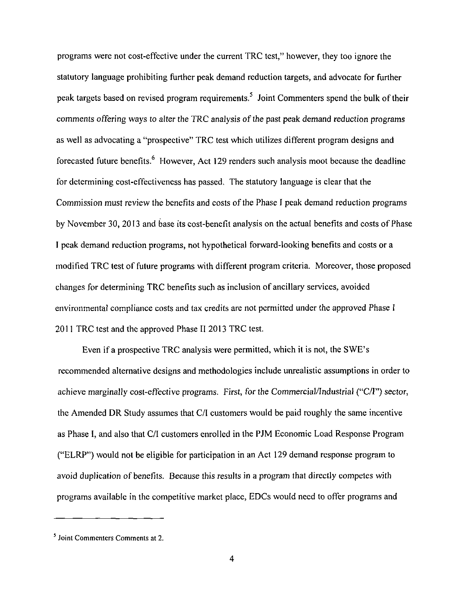programs were not cost-effective under the current TRC test," however, they too ignore the statutory language prohibiting further peak demand reduction targets, and advocate for further peak targets based on revised program requirements.<sup>5</sup> Joint Commenters spend the bulk of their comments offering ways to alter the TRC analysis of the past peak demand reduction programs as well as advocating a "prospective" TRC test which utilizes different program designs and forecasted future benefits.<sup>6</sup> However, Act 129 renders such analysis moot because the deadline for determining cost-effectiveness has passed. The statutory language is clear that the Commission must review the benefits and costs of the Phase I peak demand reduction programs by November 30, 2013 and base its cost-benefit analysis on the actual benefits and costs of Phase I peak demand reduction programs, not hypothetical forward-looking benefits and costs or a modified TRC test of future programs with different program criteria. Moreover, those proposed changes for determining TRC benefits such as inclusion of ancillary services, avoided environmental compliance costs and tax credits are not permitted under the approved Phase I 2011 TRC test and the approved Phase II 2013 TRC test.

Even if a prospective TRC analysis were permitted, which it is not, the SWE's recommended alternative designs and methodologies include unrealistic assumptions in order to achieve marginally cost-effective programs. First, for the Commercial/Industrial ("C/I") sector, the Amended DR Study assumes that C/I customers would be paid roughly the same incentive as Phase I, and also that C/I customers enrolled in the PJM Economic Load Response Program ("ELRP") would not be eligible for participation in an Act 129 demand response program to avoid duplication of benefits. Because this results in a program that directly competes with programs available in the competitive market place, EDCs would need to offer programs and

<sup>&</sup>lt;sup>5</sup> Joint Commenters Comments at 2.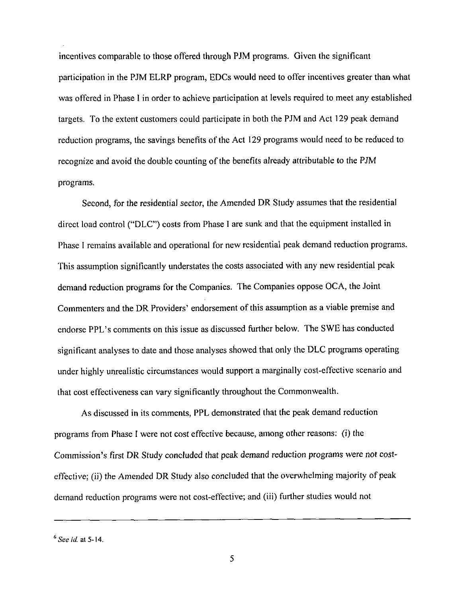incentives comparable to those offered through PJM programs. Given the significant participation in the PJM ELRP program, EDCs would need to offer incentives greater than what was offered in Phase I in order to achieve participation at levels required to meet any established targets. To the extent customers could participate in both the PJM and Act 129 peak demand reduction programs, the savings benefits of the Act 129 programs would need to be reduced to recognize and avoid the double counting of the benefits already attributable to the PJM programs.

Second, for the residential sector, the Amended DR Study assumes that the residential direct load control ("DLC") costs from Phase I are sunk and that the equipment installed in Phase I remains available and operational for new residential peak demand reduction programs. This assumption significantly understates the costs associated with any new residential peak demand reduction programs for the Companies. The Companies oppose OCA, the Joint Commenters and the DR Providers' endorsement of this assumption as a viable premise and endorse PPL's comments on this issue as discussed further below. The SWE has conducted significant analyses to date and those analyses showed that only the DLC programs operating under highly unrealistic circumstances would support a marginally cost-effective scenario and that cost effectiveness can vary significantly throughout the Commonwealth.

As discussed in its comments, PPL demonstrated that the peak demand reduction programs from Phase I were not cost effective because, among other reasons: (i) the Commission's first DR Study concluded that peak demand reduction programs were not costeffective; (ii) the Amended DR Study also concluded that the overwhelming majority of peak demand reduction programs were not cost-effective; and (iii) further studies would not

 $^6$  *See id.* at 5-14.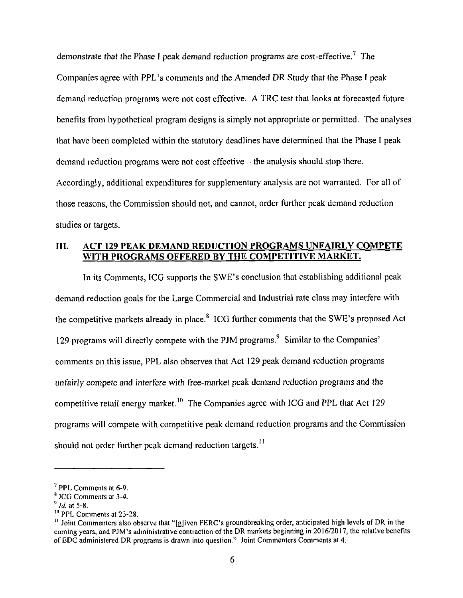demonstrate that the Phase I peak demand reduction programs are cost-effective.<sup>7</sup> The Companies agree with PPL's comments and the Amended DR Study that the Phase I peak demand reduction programs were not cost effective. A TRC test that looks at forecasted future benefits from hypothetical program designs is simply not appropriate or permitted. The analyses that have been completed within the statutory deadlines have determined that the Phase I peak  $d$  demand reduction programs were not cost effective  $-d$  the analysis should stop there. Accordingly, additional expenditures for supplementary analysis are not warranted. For all of those reasons, the Commission should not, and cannot, order further peak demand reduction studies or targets.

# **III. ACT 129 PEAK DEMAND REDUCTION PROGRAMS UNFAIRLY COMPETE WITH PROGRAMS OFFERED BY THE COMPETITIVE MARKET.**

In its Comments, ICG supports the SWE's conclusion that establishing additional peak demand reduction goals for the Large Commercial and Industrial rate class may interfere with the competitive markets already in place.<sup>8</sup> ICG further comments that the SWE's proposed Act 129 programs will directly compete with the PJM programs.<sup>9</sup> Similar to the Companies' comments on this issue, PPL also observes that Act 129 peak demand reduction programs unfairly compete and interfere with free-market peak demand reduction programs and the competitive retail energy market.<sup>10</sup> The Companies agree with ICG and PPL that Act 129 programs will compete with competitive peak demand reduction programs and the Commission should not order further peak demand reduction targets.<sup>11</sup>

<sup>&</sup>lt;sup>7</sup> PPL Comments at 6-9.

<sup>&</sup>lt;sup>8</sup> ICG Comments at 3-4.

 $9$  *Id.* at 5-8.

 $^{10}$  PPL Comments at 23-28.

<sup>&</sup>lt;sup>11</sup> Joint Commenters also observe that "[g]iven FERC's groundbreaking order, anticipated high levels of DR in the coming years, and PJM's administrative contraction of the DR markets beginning in 2016/2017, the relative benefits of EDC administered DR programs is drawn into question." Joint Commenters Comments at 4.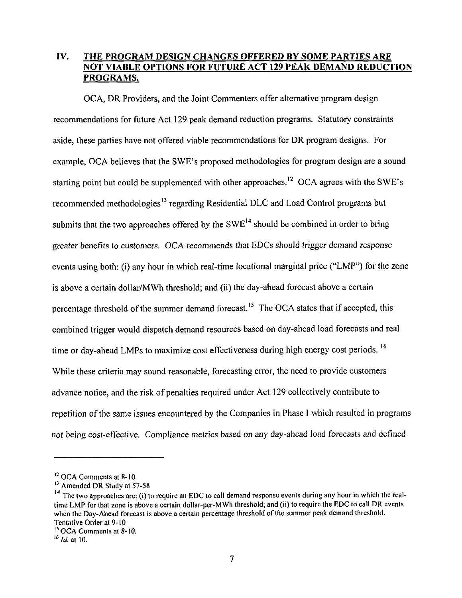# **IV. THE PROGRAM DESIGN CHANGES OFFERED BY SOME PARTIES ARE NOT VIABLE OPTIONS FOR FUTURE ACT 129 PEAK DEMAND REDUCTION PROGRAMS.**

OCA, DR Providers, and the Joint Commenters offer alternative program design recommendations for future Act 129 peak demand reduction programs. Statutory constraints aside, these parties have not offered viable recommendations for DR program designs. For example, OCA believes that the SWE's proposed methodologies for program design are a sound starting point but could be supplemented with other approaches.<sup>12</sup> OCA agrees with the SWE's recommended methodologies<sup>13</sup> regarding Residential DLC and Load Control programs but submits that the two approaches offered by the  $SWE<sup>14</sup>$  should be combined in order to bring greater benefits to customers. OCA recommends that EDCs should trigger demand response events using both: (i) any hour in which real-time locational marginal price ("LMP") for the zone is above a certain dollar/MWh threshold; and (ii) the day-ahead forecast above a certain percentage threshold of the summer demand forecast.<sup>15</sup> The OCA states that if accepted, this combined trigger would dispatch demand resources based on day-ahead load forecasts and real time or day-ahead LMPs to maximize cost effectiveness during high energy cost periods. <sup>16</sup> While these criteria may sound reasonable, forecasting error, the need to provide customers advance notice, and the risk of penalties required under Act 129 collectively contribute to repetition of the same issues encountered by the Companies in Phase I which resulted in programs not being cost-effective. Compliance metrics based on any day-ahead load forecasts and defined

<sup>&</sup>lt;sup>12</sup> OCA Comments at 8-10.

<sup>&</sup>lt;sup>13</sup> Amended DR Study at 57-58

 $14$  The two approaches are: (i) to require an EDC to call demand response events during any hour in which the realtime LMP for that zone is above a certain dollar-per-MWh threshold; and (ii) to require the EDC to call DR events when the Day-Ahead forecast is above a certain percentage threshold of the summer peak demand threshold. Tentative Order at 9-10

<sup>&</sup>lt;sup>15</sup> OCA Comments at 8-10.

 $^{16}$  *Id.* at 10.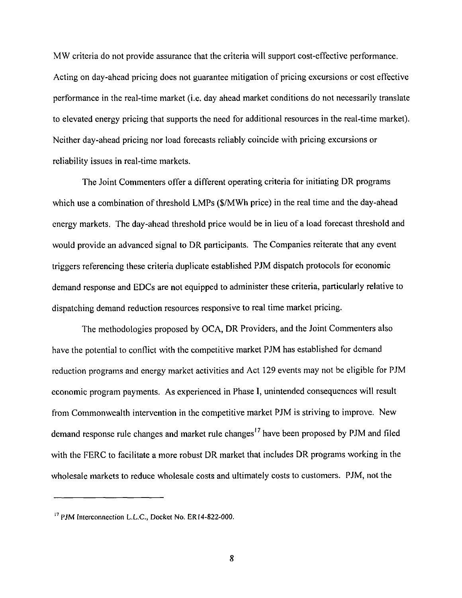MW criteria do not provide assurance that the criteria will support cost-effective performance. Acting on day-ahead pricing does not guarantee mitigation of pricing excursions or cost effective performance in the real-time market (i.e. day ahead market conditions do not necessarily translate to elevated energy pricing that supports the need for additional resources in the real-time market). Neither day-ahead pricing nor load forecasts reliably coincide with pricing excursions or reliability issues in real-time markets.

The Joint Commenters offer a different operating criteria for initiating DR programs which use a combination of threshold LMPs (\$/MWh price) in the real time and the day-ahead energy markets. The day-ahead threshold price would be in lieu of a load forecast threshold and would provide an advanced signal to DR participants. The Companies reiterate that any event triggers referencing these criteria duplicate established PJM dispatch protocols for economic demand response and EDCs are not equipped to administer these criteria, particularly relative to dispatching demand reduction resources responsive to real time market pricing.

The methodologies proposed by OCA, DR Providers, and the Joint Commenters also have the potential to conflict with the competitive market PJM has established for demand reduction programs and energy market activities and Act 129 events may not be eligible for PJM economic program payments. As experienced in Phase I, unintended consequences will result from Commonwealth intervention in the competitive market PJM is striving to improve. New demand response rule changes and market rule changes<sup>17</sup> have been proposed by PJM and filed with the FERC to facilitate a more robust DR market that includes DR programs working in the wholesale markets to reduce wholesale costs and ultimately costs to customers. PJM, not the

<sup>&</sup>lt;sup>17</sup> PJM Interconnection L.L.C., Docket No. ER14-822-000.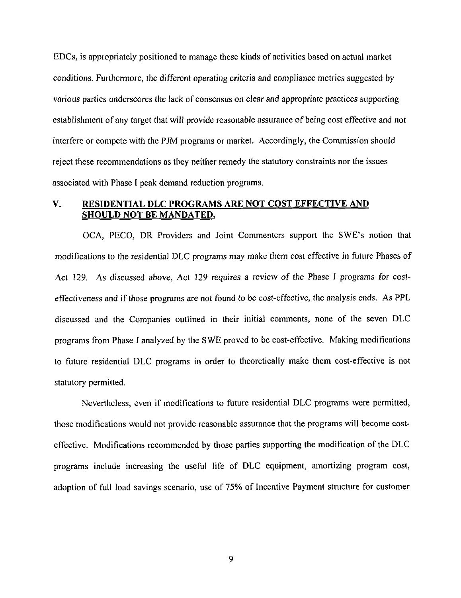EDCs, is appropriately positioned to manage these kinds of activities based on actual market conditions. Furthermore, the different operating criteria and compliance metrics suggested by various parties underscores the lack of consensus on clear and appropriate practices supporting establishment of any target that will provide reasonable assurance of being cost effective and not interfere or compete with the PJM programs or market. Accordingly, the Commission should reject these recommendations as they neither remedy the statutory constraints nor the issues associated with Phase I peak demand reduction programs.

#### **V. RESIDENTIAL DLC PROGRAMS ARE NOT COST EFFECTIVE AND SHOULD NOT BE MANDATED.**

OCA, PECO, DR Providers and Joint Commenters support the SWE's notion that modifications to the residential DLC programs may make them cost effective in future Phases of Act 129. As discussed above, Act 129 requires a review of the Phase J programs for costeffectiveness and if those programs are not found to be cost-effective, the analysis ends. As PPL discussed and the Companies outlined in their initial comments, none of the seven DLC programs from Phase I analyzed by the SWE proved to be cost-effective. Making modifications to future residential DLC programs in order to theoretically make them cost-effective is not statutory permitted.

Nevertheless, even if modifications to future residential DLC programs were permitted, those modifications would not provide reasonable assurance that the programs will become costeffective. Modifications recommended by those parties supporting the modification of the DLC programs include increasing the useful life of DLC equipment, amortizing program cost, adoption of full load savings scenario, use of 75% of Incentive Payment structure for customer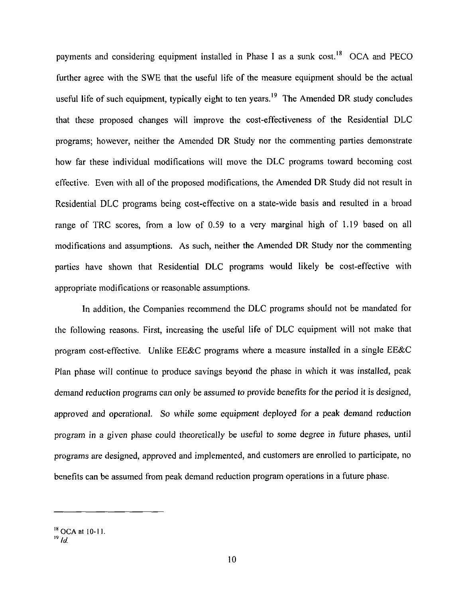payments and considering equipment installed in Phase I as a sunk cost.<sup>18</sup> OCA and PECO further agree with the SWE that the useful life of the measure equipment should be the actual useful life of such equipment, typically eight to ten years.<sup>19</sup> The Amended DR study concludes that these proposed changes will improve the cost-effectiveness of the Residential DLC programs; however, neither the Amended DR Study nor the commenting parties demonstrate how far these individual modifications will move the DLC programs toward becoming cost effective. Even with all of the proposed modifications, the Amended DR Study did not result in Residential DLC programs being cost-effective on a state-wide basis and resulted in a broad range of TRC scores, from a low of 0.59 to a very marginal high of 1.19 based on all modifications and assumptions. As such, neither the Amended DR Study nor the commenting parties have shown that Residential DLC programs would likely be cost-effective with appropriate modifications or reasonable assumptions.

In addition, the Companies recommend the DLC programs should not be mandated for the following reasons. First, increasing the useful life of DLC equipment will not make that program cost-effective. Unlike EE&C programs where a measure installed in a single EE&C Plan phase will continue to produce savings beyond the phase in which it was installed, peak demand reduction programs can only be assumed to provide benefits for the period it is designed, approved and operational. So while some equipment deployed for a peak demand reduction program in a given phase could theoretically be useful to some degree in future phases, until programs are designed, approved and implemented, and customers are enrolled to participate, no benefits can be assumed from peak demand reduction program operations in a future phase.

<sup>&</sup>lt;sup>18</sup> OCA at 10-11.

 $19$ <sup>*Id.*</sup>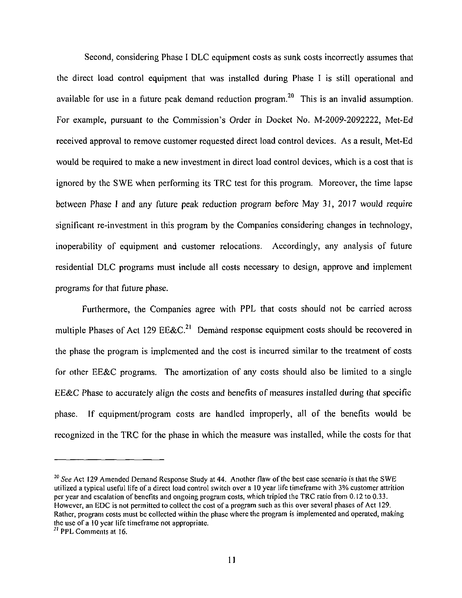Second, considering Phase I DLC equipment costs as sunk costs incorrectly assumes that the direct load control equipment that was installed during Phase I is still operational and available for use in a future peak demand reduction program.<sup>20</sup> This is an invalid assumption. For example, pursuant to the Commission's Order in Docket No. M-2009-2092222, Met-Ed received approval to remove customer requested direct load control devices. As a result, Met-Ed would be required to make a new investment in direct load control devices, which is a cost that is ignored by the SWE when performing its TRC test for this program. Moreover, the time lapse between Phase I and any future peak reduction program before May 31, 2017 would require significant re-investment in this program by the Companies considering changes in technology, inoperability of equipment and customer relocations. Accordingly, any analysis of future residential DLC programs must include all costs necessary to design, approve and implement programs for that future phase.

Furthermore, the Companies agree with PPL that costs should not be carried across multiple Phases of Act 129 EE&C.<sup>21</sup> Demand response equipment costs should be recovered in the phase the program is implemented and the cost is incurred similar to the treatment of costs for other EE&C programs. The amortization of any costs should also be limited to a single EE&C Phase to accurately align the costs and benefits of measures installed during that specific phase. If equipment/program costs are handled improperly, all of the benefits would be recognized in the TRC for the phase in which the measure was installed, while the costs for that

<sup>&</sup>lt;sup>20</sup> See Act 129 Amended Demand Response Study at 44. Another flaw of the best case scenario is that the SWE utilized a typical useful life of a direct load control switch over a 10 year life timeframe with 3% customer attrition per year and escalation of benefits and ongoing program costs, which tripled the TRC ratio from 0.12 to 0.33. However, an EDC is not permitted to collect the cost of a program such as this over several phases of Act 129. Rather, program costs must be collected within the phase where the program is implemented and operated, making the use of a 10 year life timeframe not appropriate.

 $^{21}$  PPL Comments at 16.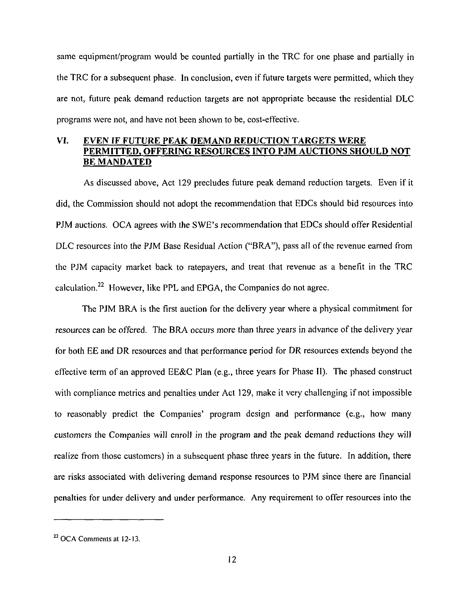same equipment/program would be counted partially in the TRC for one phase and partially in the TRC for a subsequent phase. In conclusion, even if future targets were permitted, which they are not, future peak demand reduction targets are not appropriate because the residential DLC programs were not, and have not been shown to be, cost-effective.

# **VI. EVEN IF FUTURE PEAK DEMAND REDUCTION TARGETS WERE PERMITTED, OFFERING RESOURCES INTO PJM AUCTIONS SHOULD NOT BE MANDATED**

As discussed above, Act 129 precludes future peak demand reduction targets. Even if it did, the Commission should not adopt the recommendation that EDCs should bid resources into PJM auctions. OCA agrees with the SWE's recommendation that EDCs should offer Residential DLC resources into the PJM Base Residual Action ("BRA"), pass all of the revenue earned from the PJM capacity market back to ratepayers, and treat that revenue as a benefit in the TRC calculation.<sup>22</sup> However, like PPL and EPGA, the Companies do not agree.

The PJM BRA is the first auction for the delivery year where a physical commitment for resources can be offered. The BRA occurs more than three years in advance of the delivery year for both EE and DR resources and that performance period for DR resources extends beyond the effective term of an approved EE&C Plan (e.g., three years for Phase II). The phased construct with compliance metrics and penalties under Act 129, make it very challenging if not impossible to reasonably predict the Companies' program design and performance (e.g., how many customers the Companies will enrol) in the program and the peak demand reductions they will realize from those customers) in a subsequent phase three years in the future. In addition, there are risks associated with delivering demand response resources to PJM since there are financial penalties for under delivery and under performance. Any requirement to offer resources into the

 $22$  OCA Comments at 12-13.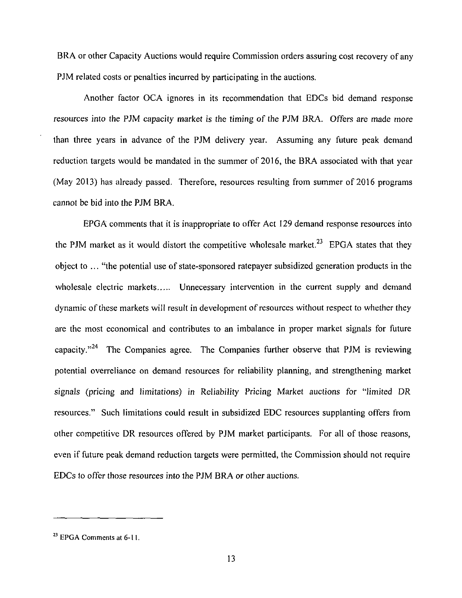BRA or other Capacity Auctions would require Commission orders assuring cost recovery of any PJM related costs or penalties incurred by participating in the auctions.

Another factor OCA ignores in its recommendation that EDCs bid demand response resources into the PJM capacity market is the timing of the PJM BRA. Offers are made more than three years in advance of the PJM delivery year. Assuming any future peak demand reduction targets would be mandated in the summer of 2016, the BRA associated with that year (May 2013) has already passed. Therefore, resources resulting from summer of 2016 programs cannot be bid into the PJM BRA.

EPGA comments that it is inappropriate to offer Act 129 demand response resources into the PJM market as it would distort the competitive wholesale market.<sup>23</sup> EPGA states that they object to ... "the potential use of state-sponsored ratepayer subsidized generation products in the wholesale electric markets..... Unnecessary intervention in the current supply and demand dynamic of these markets will result in development of resources without respect to whether they are the most economical and contributes to an imbalance in proper market signals for future capacity."<sup>24</sup> The Companies agree. The Companies further observe that PJM is reviewing potential overreliance on demand resources for reliability planning, and strengthening market signals (pricing and limitations) in Reliability Pricing Market auctions for "limited DR resources." Such limitations could result in subsidized EDC resources supplanting offers from other competitive DR resources offered by PJM market participants. For all of those reasons, even if future peak demand reduction targets were permitted, the Commission should not require EDCs to offer those resources into the PJM BRA or other auctions.

**<sup>23</sup>**EPGA Comments at 6-11.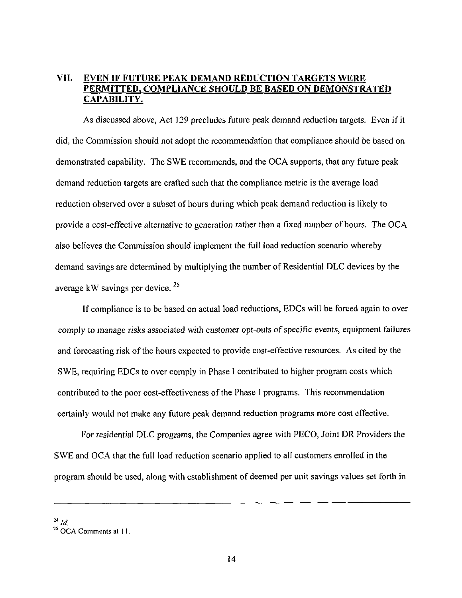# **VII. EVEN IF FUTURE PEAK DEMAND REDUCTION TARGETS WERE PERMITTED, COMPLIANCE SHOULD BE BASED ON DEMONSTRATED CAPABILITY.**

As discussed above, Act 129 precludes future peak demand reduction targets. Even if it did, the Commission should not adopt the recommendation that compliance should be based on demonstrated capability. The SWE recommends, and the OCA supports, that any future peak demand reduction targets are crafted such that the compliance metric is the average load reduction observed over a subset of hours during which peak demand reduction is likely to provide a cost-effective alternative to generation rather than a fixed number of hours. The OCA also believes the Commission should implement the full load reduction scenario whereby demand savings are determined by multiplying the number of Residential DLC devices by the average kW savings per device.

If compliance is to be based on actual load reductions, EDCs will be forced again to over comply to manage risks associated with customer opt-outs of specific events, equipment failures and forecasting risk of the hours expected to provide cost-effective resources. As cited by the SWE, requiring EDCs to over comply in Phase I contributed to higher program costs which contributed to the poor cost-effectiveness of the Phase I programs. This recommendation certainly would not make any future peak demand reduction programs more cost effective.

For residential DLC programs, the Companies agree with PECO, Joint DR Providers the SWE and OCA that the full load reduction scenario applied to all customers enrolled in the program should be used, along with establishment of deemed per unit savings values set forth in

 $^{24}$  *Id*,

<sup>&</sup>lt;sup>23</sup> OCA Comments at 1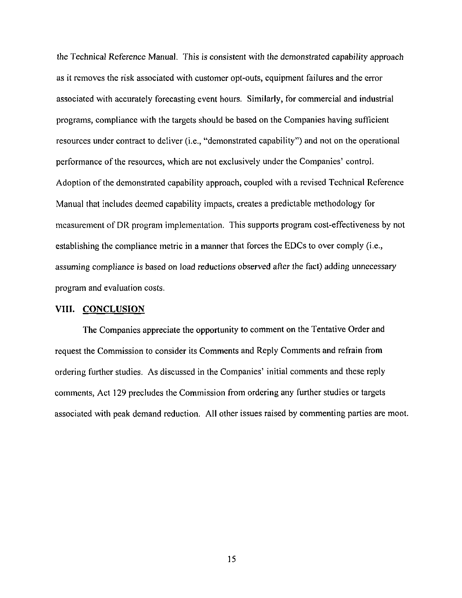**the Technical Reference Manual. This is consistent with the demonstrated capability approach as it removes the risk associated with customer opt-outs, equipment failures and the error associated with accurately forecasting event hours. Similarly, for commercial and industrial programs, compliance with the targets should be based on the Companies having sufficient resources under contract to deliver (i.e., "demonstrated capability") and not on the operational performance of the resources, which are not exclusively under the Companies' control. Adoption of the demonstrated capability approach, coupled with a revised Technical Reference Manual that includes deemed capability impacts, creates a predictable methodology for measurement of DR program implementation. This supports program cost-effectiveness by not establishing the compliance metric in a manner that forces the EDCs to over comply (i.e., assuming compliance is based on load reductions observed after the fact) adding unnecessary program and evaluation costs.** 

#### **VIII. CONCLUSION**

The Companies appreciate the opportunity to comment on the Tentative Order and request the Commission to consider its Comments and Reply Comments and refrain from ordering further studies. As discussed in the Companies' initial comments and these reply comments, Act 129 precludes the Commission from ordering any further studies or targets associated with peak demand reduction. All other issues raised by commenting parties are moot.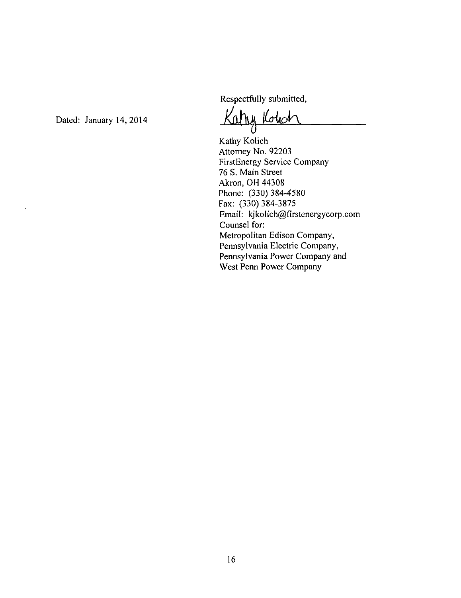Respectfully submitted,

Dated: January 14, 2014

Kathy Kohd

Kathy Kolich Attorney No. 92203 FirstEnergy Service Company 76 S. Main Street Akron, OH 44308 Phone: (330) 384-4580 Fax: (330) 384-3875 Email: kjkoIich@firstenergycorp.com Counsel for: Metropolitan Edison Company, Pennsylvania Electric Company, Pennsylvania Power Company and West Penn Power Company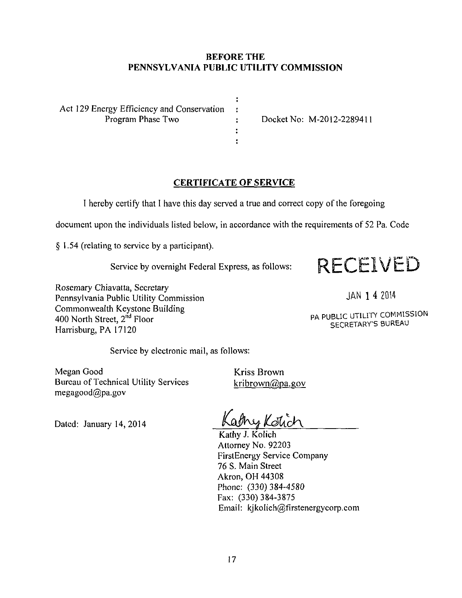### **BEFORE THE PENNSYLVANIA PUBLIC UTILITY COMMISSION**

 $\ddot{\cdot}$  $\ddot{\cdot}$ 

 $\ddot{\bullet}$  $\ddot{\cdot}$ 

Act 129 Energy Efficiency and Conservation<br>Program Phase Two

: Docket No: M-2012-2289411

# **CERTIFICATE OF SERVICE**

I hereby certify that I have this day served a true and correct copy of the foregoing

document upon the individuals listed below, in accordance with the requirements of 52 Pa. Code

§ 1.54 (relating to service by a participant).



Rosemary Chiavatta, Secretary Pennsylvania Public Utility Commission Commonwealth Keystone Building 400 North Street, 2<sup>nd</sup> Floor Harrisburg, PA 17120

JAN 1 4 2014

PA PUBLIC UTILITY COMMISSION SECRETARY'S BUREAU

Service by electronic mail, as follows:

Megan Good Bureau of Technical Utility Services megagood@pa.gov

Kriss Brown kribrown@pa.gov

Dated: January 14, 2014

athes Koticl

Kathy J. Kolich Attorney No. 92203 FirstEnergy Service Company 76 S. Main Street Akron, OH 44308 Phone: (330)384-4580 Fax: (330) 384-3875 Email: kjkoIich@firstenergycorp.com